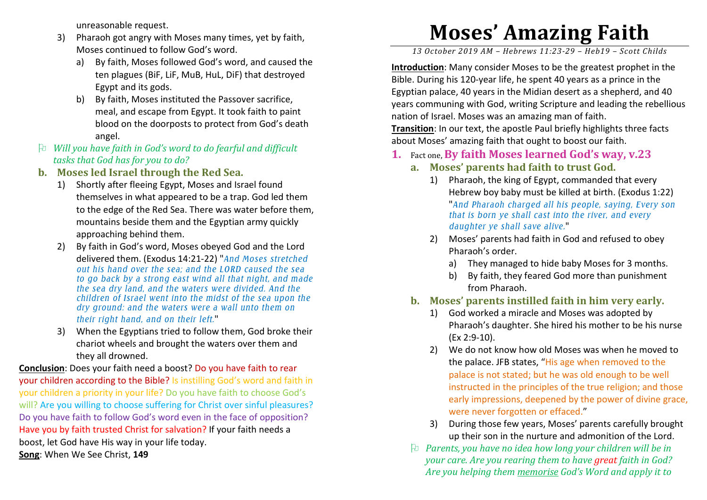unreasonable request.

- 3) Pharaoh got angry with Moses many times, yet by faith, Moses continued to follow God's word.
	- a) By faith, Moses followed God's word, and caused theten plagues (BiF, LiF, MuB, HuL, DiF) that destroyed Egypt and its gods.
	- b) By faith, Moses instituted the Passover sacrifice, meal, and escape from Egypt. It took faith to paintblood on the doorposts to protect from God's death angel.
- *Will you have faith in God's word to do fearful and difficult tasks that God has for you to do?*
- **b. Moses led Israel through the Red Sea.** 
	- 1) Shortly after fleeing Egypt, Moses and Israel found themselves in what appeared to be a trap. God led them to the edge of the Red Sea. There was water before them, mountains beside them and the Egyptian army quicklyapproaching behind them.
	- 2) By faith in God's word, Moses obeyed God and the Lord delivered them. (Exodus 14:21-22) "*And Moses stretched out his hand over the sea; and the LORD caused the sea to go back by a strong east wind all that night, and made the sea dry land, and the waters were divided. And the children of Israel went into the midst of the sea upon the dry ground: and the waters were a wall unto them ontheir right hand, and on their left.*"
	- 3) When the Egyptians tried to follow them, God broke their chariot wheels and brought the waters over them andthey all drowned.

**Conclusion**: Does your faith need a boost? Do you have faith to rear your children according to the Bible? Is instilling God's word and faith in your children a priority in your life? Do you have faith to choose God's will? Are you willing to choose suffering for Christ over sinful pleasures? Do you have faith to follow God's word even in the face of opposition?Have you by faith trusted Christ for salvation? If your faith needs a boost, let God have His way in your life today.

**Song**: When We See Christ, **149** 

## **Moses' Amazing Faith**

*13 October 2019 AM – Hebrews 11:23-29 – Heb19 – Scott Childs* 

**Introduction**: Many consider Moses to be the greatest prophet in the Bible. During his 120-year life, he spent 40 years as a prince in the Egyptian palace, 40 years in the Midian desert as a shepherd, and 40 years communing with God, writing Scripture and leading the rebellious nation of Israel. Moses was an amazing man of faith.

**Transition**: In our text, the apostle Paul briefly highlights three facts about Moses' amazing faith that ought to boost our faith.

- **1.** Fact one,**By faith Moses learned God's way, v.23** 
	- **a. Moses' parents had faith to trust God.** 
		- 1) Pharaoh, the king of Egypt, commanded that every Hebrew boy baby must be killed at birth. (Exodus 1:22) "*And Pharaoh charged all his people, saying, Every son that is born ye shall cast into the river, and every daughter ye shall save alive.*"
		- 2) Moses' parents had faith in God and refused to obeyPharaoh's order.
			- a) They managed to hide baby Moses for 3 months.
			- b) By faith, they feared God more than punishment from Pharaoh.
	- **b. Moses' parents instilled faith in him very early.** 
		- 1) God worked a miracle and Moses was adopted by Pharaoh's daughter. She hired his mother to be his nurse (Ex 2:9-10).
		- 2) We do not know how old Moses was when he moved to the palace. JFB states, "His age when removed to the palace is not stated; but he was old enough to be well instructed in the principles of the true religion; and those early impressions, deepened by the power of divine grace, were never forgotten or effaced."
		- 3) During those few years, Moses' parents carefully brought up their son in the nurture and admonition of the Lord.
	- *Parents, you have no idea how long your children will be in your care. Are you rearing them to have great faith in God? Are you helping them memorise God's Word and apply it to*